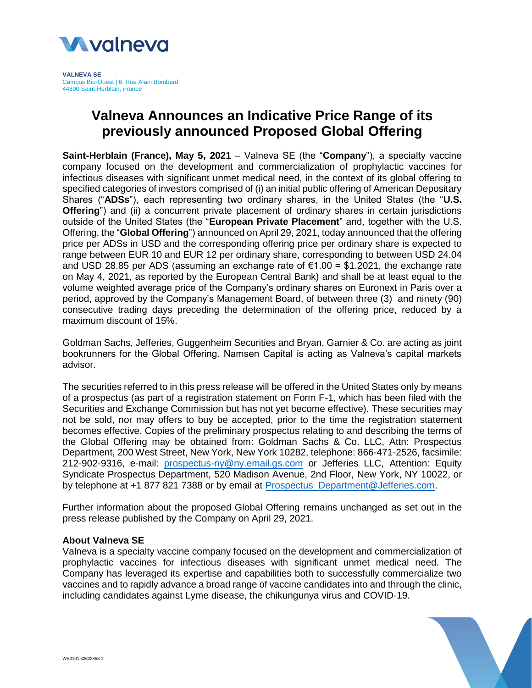

**VALNEVA SE** Campus Bio-Ouest | 6, Rue Alain Bombard 44800 Saint-Herblain, *France*

## **Valneva Announces an Indicative Price Range of its previously announced Proposed Global Offering**

**Saint-Herblain (France), May 5, 2021** – Valneva SE (the "**Company**"), a specialty vaccine company focused on the development and commercialization of prophylactic vaccines for infectious diseases with significant unmet medical need, in the context of its global offering to specified categories of investors comprised of (i) an initial public offering of American Depositary Shares ("**ADSs**"), each representing two ordinary shares, in the United States (the "**U.S. Offering**") and (ii) a concurrent private placement of ordinary shares in certain jurisdictions outside of the United States (the "**European Private Placement**" and, together with the U.S. Offering, the "**Global Offering**") announced on April 29, 2021, today announced that the offering price per ADSs in USD and the corresponding offering price per ordinary share is expected to range between EUR 10 and EUR 12 per ordinary share, corresponding to between USD 24.04 and USD 28.85 per ADS (assuming an exchange rate of  $\epsilon$ 1.00 = \$1.2021, the exchange rate on May 4, 2021, as reported by the European Central Bank) and shall be at least equal to the volume weighted average price of the Company's ordinary shares on Euronext in Paris over a period, approved by the Company's Management Board, of between three (3) and ninety (90) consecutive trading days preceding the determination of the offering price, reduced by a maximum discount of 15%.

Goldman Sachs, Jefferies, Guggenheim Securities and Bryan, Garnier & Co. are acting as joint bookrunners for the Global Offering. Namsen Capital is acting as Valneva's capital markets advisor.

The securities referred to in this press release will be offered in the United States only by means of a prospectus (as part of a registration statement on Form F-1, which has been filed with the Securities and Exchange Commission but has not yet become effective). These securities may not be sold, nor may offers to buy be accepted, prior to the time the registration statement becomes effective. Copies of the preliminary prospectus relating to and describing the terms of the Global Offering may be obtained from: Goldman Sachs & Co. LLC, Attn: Prospectus Department, 200 West Street, New York, New York 10282, telephone: 866-471-2526, facsimile: 212-902-9316, e-mail: [prospectus-ny@ny.email.gs.com](mailto:prospectus-ny@ny.email.gs.com) or Jefferies LLC, Attention: Equity Syndicate Prospectus Department, 520 Madison Avenue, 2nd Floor, New York, NY 10022, or by telephone at +1 877 821 7388 or by email at [Prospectus\\_Department@Jefferies.com.](mailto:Prospectus_Department@Jefferies.com)

Further information about the proposed Global Offering remains unchanged as set out in the press release published by the Company on April 29, 2021.

## **About Valneva SE**

Valneva is a specialty vaccine company focused on the development and commercialization of prophylactic vaccines for infectious diseases with significant unmet medical need. The Company has leveraged its expertise and capabilities both to successfully commercialize two vaccines and to rapidly advance a broad range of vaccine candidates into and through the clinic, including candidates against Lyme disease, the chikungunya virus and COVID-19.

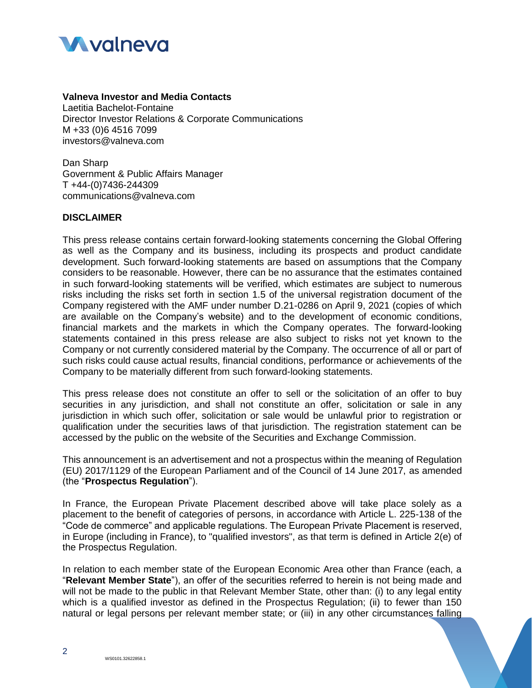

## **Valneva Investor and Media Contacts**

Laetitia Bachelot-Fontaine Director Investor Relations & Corporate Communications M +33 (0)6 4516 7099 investors@valneva.com

Dan Sharp Government & Public Affairs Manager T +44-(0)7436-244309 [communications@valneva.com](mailto:communications@valneva.com)

## **DISCLAIMER**

This press release contains certain forward-looking statements concerning the Global Offering as well as the Company and its business, including its prospects and product candidate development. Such forward-looking statements are based on assumptions that the Company considers to be reasonable. However, there can be no assurance that the estimates contained in such forward-looking statements will be verified, which estimates are subject to numerous risks including the risks set forth in section 1.5 of the universal registration document of the Company registered with the AMF under number D.21-0286 on April 9, 2021 (copies of which are available on the Company's website) and to the development of economic conditions, financial markets and the markets in which the Company operates. The forward-looking statements contained in this press release are also subject to risks not yet known to the Company or not currently considered material by the Company. The occurrence of all or part of such risks could cause actual results, financial conditions, performance or achievements of the Company to be materially different from such forward-looking statements.

This press release does not constitute an offer to sell or the solicitation of an offer to buy securities in any jurisdiction, and shall not constitute an offer, solicitation or sale in any jurisdiction in which such offer, solicitation or sale would be unlawful prior to registration or qualification under the securities laws of that jurisdiction. The registration statement can be accessed by the public on the website of the Securities and Exchange Commission.

This announcement is an advertisement and not a prospectus within the meaning of Regulation (EU) 2017/1129 of the European Parliament and of the Council of 14 June 2017, as amended (the "**Prospectus Regulation**").

In France, the European Private Placement described above will take place solely as a placement to the benefit of categories of persons, in accordance with Article L. 225-138 of the "Code de commerce" and applicable regulations. The European Private Placement is reserved, in Europe (including in France), to "qualified investors", as that term is defined in Article 2(e) of the Prospectus Regulation.

In relation to each member state of the European Economic Area other than France (each, a "**Relevant Member State**"), an offer of the securities referred to herein is not being made and will not be made to the public in that Relevant Member State, other than: (i) to any legal entity which is a qualified investor as defined in the Prospectus Regulation; (ii) to fewer than 150 natural or legal persons per relevant member state; or (iii) in any other circumstances falling